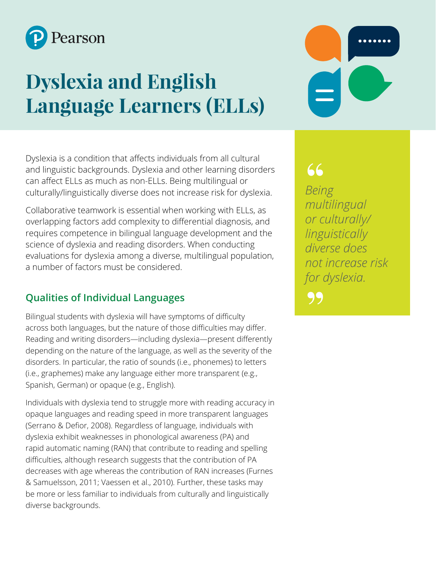

# **Dyslexia and English Language Learners (ELLs)**

Dyslexia is a condition that affects individuals from all cultural and linguistic backgrounds. Dyslexia and other learning disorders can affect ELLs as much as non-ELLs. Being multilingual or culturally/linguistically diverse does not increase risk for dyslexia.

Collaborative teamwork is essential when working with ELLs, as overlapping factors add complexity to differential diagnosis, and requires competence in bilingual language development and the science of dyslexia and reading disorders. When conducting evaluations for dyslexia among a diverse, multilingual population, a number of factors must be considered.

## **Qualities of Individual Languages**

Bilingual students with dyslexia will have symptoms of difficulty across both languages, but the nature of those difficulties may differ. Reading and writing disorders—including dyslexia—present differently depending on the nature of the language, as well as the severity of the disorders. In particular, the ratio of sounds (i.e., phonemes) to letters (i.e., graphemes) make any language either more transparent (e.g., Spanish, German) or opaque (e.g., English).

Individuals with dyslexia tend to struggle more with reading accuracy in opaque languages and reading speed in more transparent languages (Serrano & Defior, 2008). Regardless of language, individuals with dyslexia exhibit weaknesses in phonological awareness (PA) and rapid automatic naming (RAN) that contribute to reading and spelling difficulties, although research suggests that the contribution of PA decreases with age whereas the contribution of RAN increases (Furnes & Samuelsson, 2011; Vaessen et al., 2010). Further, these tasks may be more or less familiar to individuals from culturally and linguistically diverse backgrounds.

*Being multilingual or culturally/ linguistically diverse does not increase risk for dyslexia.* 66<br>Bein<br>mul 99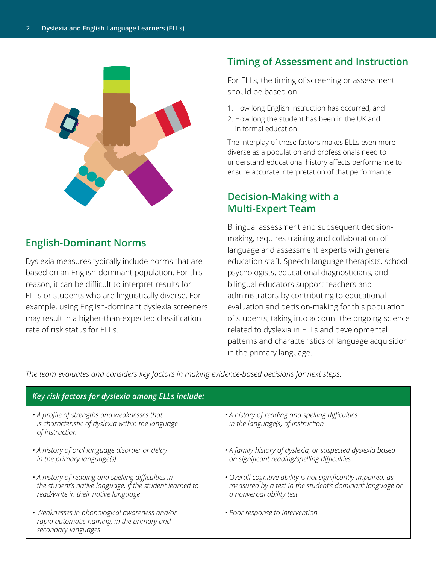

## **English-Dominant Norms**

Dyslexia measures typically include norms that are based on an English-dominant population. For this reason, it can be difficult to interpret results for ELLs or students who are linguistically diverse. For example, using English-dominant dyslexia screeners may result in a higher-than-expected classification rate of risk status for ELLs.

## **Timing of Assessment and Instruction**

For ELLs, the timing of screening or assessment should be based on:

- 1. How long English instruction has occurred, and
- 2. How long the student has been in the UK and in formal education.

The interplay of these factors makes ELLs even more diverse as a population and professionals need to understand educational history affects performance to ensure accurate interpretation of that performance.

## **Decision-Making with a Multi-Expert Team**

Bilingual assessment and subsequent decisionmaking, requires training and collaboration of language and assessment experts with general education staff. Speech-language therapists, school psychologists, educational diagnosticians, and bilingual educators support teachers and administrators by contributing to educational evaluation and decision-making for this population of students, taking into account the ongoing science related to dyslexia in ELLs and developmental patterns and characteristics of language acquisition in the primary language.

*The team evaluates and considers key factors in making evidence-based decisions for next steps.*

| Key risk factors for dyslexia among ELLs include:                                                                                                      |                                                                                                                                                       |
|--------------------------------------------------------------------------------------------------------------------------------------------------------|-------------------------------------------------------------------------------------------------------------------------------------------------------|
| • A profile of strengths and weaknesses that<br>is characteristic of dyslexia within the language<br>of instruction                                    | • A history of reading and spelling difficulties<br>in the language(s) of instruction                                                                 |
| • A history of oral language disorder or delay<br>in the primary language(s)                                                                           | • A family history of dyslexia, or suspected dyslexia based<br>on significant reading/spelling difficulties                                           |
| • A history of reading and spelling difficulties in<br>the student's native language, if the student learned to<br>read/write in their native language | • Overall cognitive ability is not significantly impaired, as<br>measured by a test in the student's dominant language or<br>a nonverbal ability test |
| • Weaknesses in phonological awareness and/or<br>rapid automatic naming, in the primary and<br>secondary languages                                     | • Poor response to intervention                                                                                                                       |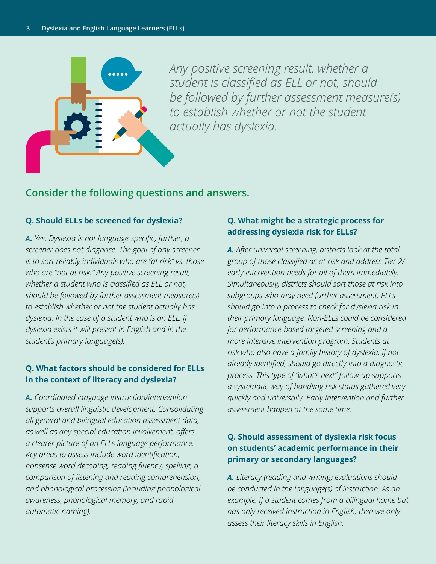

*Any positive screening result, whether a student is classified as ELL or not, should be followed by further assessment measure(s) to establish whether or not the student actually has dyslexia.*

## **Consider the following questions and answers.**

#### **Q. Should ELLs be screened for dyslexia?**

*A. Yes. Dyslexia is not language-specific; further, a screener does not diagnose. The goal of any screener is to sort reliably individuals who are "at risk" vs. those who are "not at risk." Any positive screening result, whether a student who is classified as ELL or not, should be followed by further assessment measure(s) to establish whether or not the student actually has dyslexia. In the case of a student who is an ELL, if dyslexia exists it will present in English and in the student's primary language(s).*

#### **Q. What factors should be considered for ELLs in the context of literacy and dyslexia?**

*A. Coordinated language instruction/intervention supports overall linguistic development. Consolidating all general and bilingual education assessment data, as well as any special education involvement, offers a clearer picture of an ELLs language performance. Key areas to assess include word identification, nonsense word decoding, reading fluency, spelling, a comparison of listening and reading comprehension, and phonological processing (including phonological awareness, phonological memory, and rapid automatic naming).*

### **Q. What might be a strategic process for addressing dyslexia risk for ELLs?**

*A. After universal screening, districts look at the total group of those classified as at risk and address Tier 2/ early intervention needs for all of them immediately. Simultaneously, districts should sort those at risk into subgroups who may need further assessment. ELLs should go into a process to check for dyslexia risk in their primary language. Non-ELLs could be considered for performance-based targeted screening and a more intensive intervention program. Students at risk who also have a family history of dyslexia, if not already identified, should go directly into a diagnostic process. This type of "what's next" follow-up supports a systematic way of handling risk status gathered very quickly and universally. Early intervention and further assessment happen at the same time.*

### **Q. Should assessment of dyslexia risk focus on students' academic performance in their primary or secondary languages?**

*A. Literacy (reading and writing) evaluations should be conducted in the language(s) of instruction. As an example, if a student comes from a bilingual home but has only received instruction in English, then we only assess their literacy skills in English.*